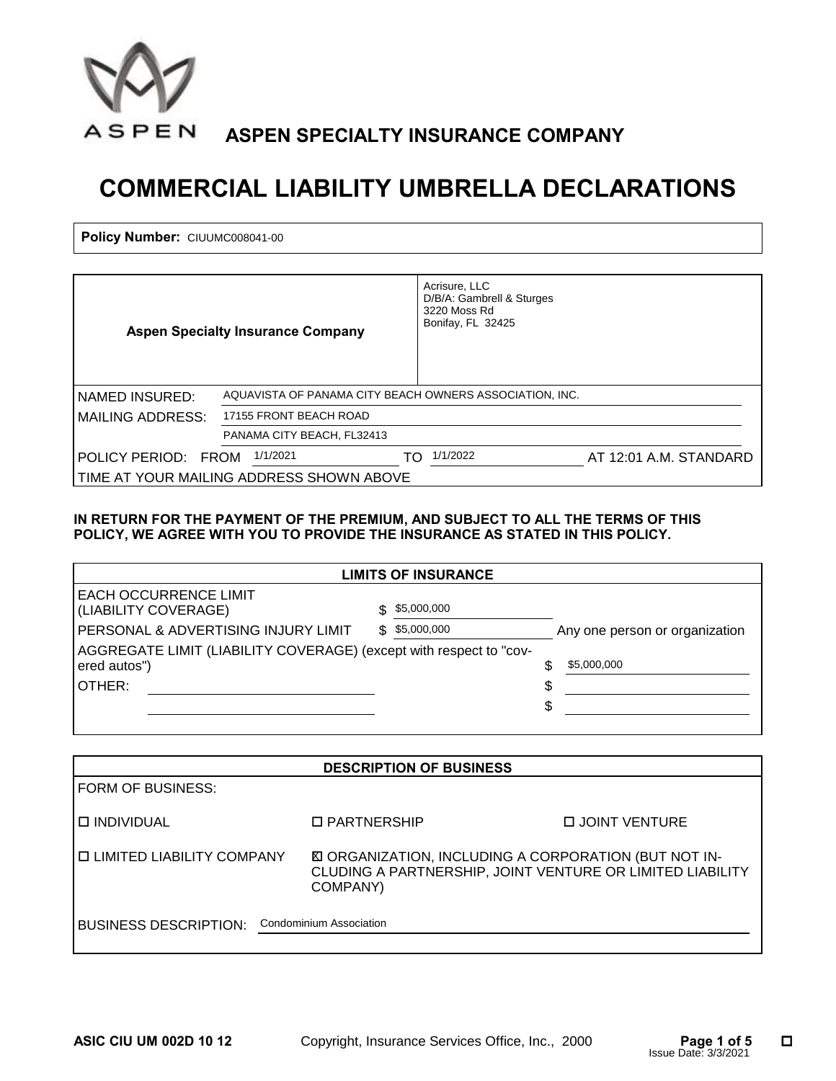

# **COMMERCIAL LIABILITY UMBRELLA DECLARATIONS**

Policy Number: CIUUMC008041-00

| <b>Policy Number: CIUUMC008041-00</b>        |                                          |               |                                                                                                            |                                                                                                                          |
|----------------------------------------------|------------------------------------------|---------------|------------------------------------------------------------------------------------------------------------|--------------------------------------------------------------------------------------------------------------------------|
|                                              |                                          |               |                                                                                                            |                                                                                                                          |
|                                              | <b>Aspen Specialty Insurance Company</b> |               | Acrisure, LLC<br>D/B/A: Gambrell & Sturges<br>3220 Moss Rd<br>Bonifay, FL 32425                            |                                                                                                                          |
| NAMED INSURED:                               |                                          |               | AQUAVISTA OF PANAMA CITY BEACH OWNERS ASSOCIATION, INC.                                                    |                                                                                                                          |
| <b>MAILING ADDRESS:</b>                      | 17155 FRONT BEACH ROAD                   |               |                                                                                                            |                                                                                                                          |
|                                              | PANAMA CITY BEACH, FL32413               |               |                                                                                                            |                                                                                                                          |
| POLICY PERIOD: FROM 1/1/2021                 |                                          |               | TO 1/1/2022                                                                                                | AT 12:01 A.M. STANDARD                                                                                                   |
| TIME AT YOUR MAILING ADDRESS SHOWN ABOVE     |                                          |               |                                                                                                            |                                                                                                                          |
|                                              |                                          |               | POLICY, WE AGREE WITH YOU TO PROVIDE THE INSURANCE AS STATED IN THIS POLICY.<br><b>LIMITS OF INSURANCE</b> |                                                                                                                          |
| EACH OCCURRENCE LIMIT                        |                                          |               |                                                                                                            |                                                                                                                          |
| (LIABILITY COVERAGE)                         |                                          |               | \$5,000,000                                                                                                |                                                                                                                          |
| PERSONAL & ADVERTISING INJURY LIMIT          |                                          |               | \$5,000,000                                                                                                | Any one person or organization                                                                                           |
|                                              |                                          |               | AGGREGATE LIMIT (LIABILITY COVERAGE) (except with respect to "cov-                                         |                                                                                                                          |
| ered autos")                                 |                                          |               |                                                                                                            | \$<br>\$5,000,000                                                                                                        |
| OTHER:                                       |                                          |               |                                                                                                            | \$                                                                                                                       |
|                                              |                                          |               |                                                                                                            | \$                                                                                                                       |
|                                              |                                          |               |                                                                                                            |                                                                                                                          |
|                                              |                                          |               | <b>DESCRIPTION OF BUSINESS</b>                                                                             |                                                                                                                          |
| FORM OF BUSINESS:                            |                                          |               |                                                                                                            |                                                                                                                          |
| <b>O INDIVIDUAL</b>                          |                                          | □ PARTNERSHIP |                                                                                                            | <b>LE JOINT VENTURE</b>                                                                                                  |
| □ LIMITED LIABILITY COMPANY                  |                                          | COMPANY)      |                                                                                                            | <b>E ORGANIZATION, INCLUDING A CORPORATION (BUT NOT IN-</b><br>CLUDING A PARTNERSHIP, JOINT VENTURE OR LIMITED LIABILITY |
| RUSINESS DESCRIPTION Condominium Association |                                          |               |                                                                                                            |                                                                                                                          |

#### **IN RETURN FOR THE PAYMENT OF THE PREMIUM, AND SUBJECT TO ALL THE TERMS OF THIS POLICY, WE AGREE WITH YOU TO PROVIDE THE INSURANCE AS STATED IN THIS POLICY.**

| <b>LIMITS OF INSURANCE</b>                                                         |    |             |    |                                |  |  |
|------------------------------------------------------------------------------------|----|-------------|----|--------------------------------|--|--|
| <b>EACH OCCURRENCE LIMIT</b><br>(LIABILITY COVERAGE)                               |    | \$5,000,000 |    |                                |  |  |
| PERSONAL & ADVERTISING INJURY LIMIT                                                | S. | \$5,000,000 |    | Any one person or organization |  |  |
| AGGREGATE LIMIT (LIABILITY COVERAGE) (except with respect to "cov-<br>ered autos") |    |             |    | \$5,000,000                    |  |  |
| IOTHER:                                                                            |    |             | \$ |                                |  |  |
|                                                                                    |    |             | \$ |                                |  |  |

| <b>DESCRIPTION OF BUSINESS</b>                          |                                                                                                                                       |                       |  |  |  |  |
|---------------------------------------------------------|---------------------------------------------------------------------------------------------------------------------------------------|-----------------------|--|--|--|--|
| FORM OF BUSINESS:                                       |                                                                                                                                       |                       |  |  |  |  |
| <b>D INDIVIDUAL</b>                                     | □ PARTNERSHIP                                                                                                                         | <b>DUOINT VENTURE</b> |  |  |  |  |
| <b>O LIMITED LIABILITY COMPANY</b>                      | <b>ED ORGANIZATION, INCLUDING A CORPORATION (BUT NOT IN-</b><br>CLUDING A PARTNERSHIP, JOINT VENTURE OR LIMITED LIABILITY<br>COMPANY) |                       |  |  |  |  |
| Condominium Association<br><b>BUSINESS DESCRIPTION:</b> |                                                                                                                                       |                       |  |  |  |  |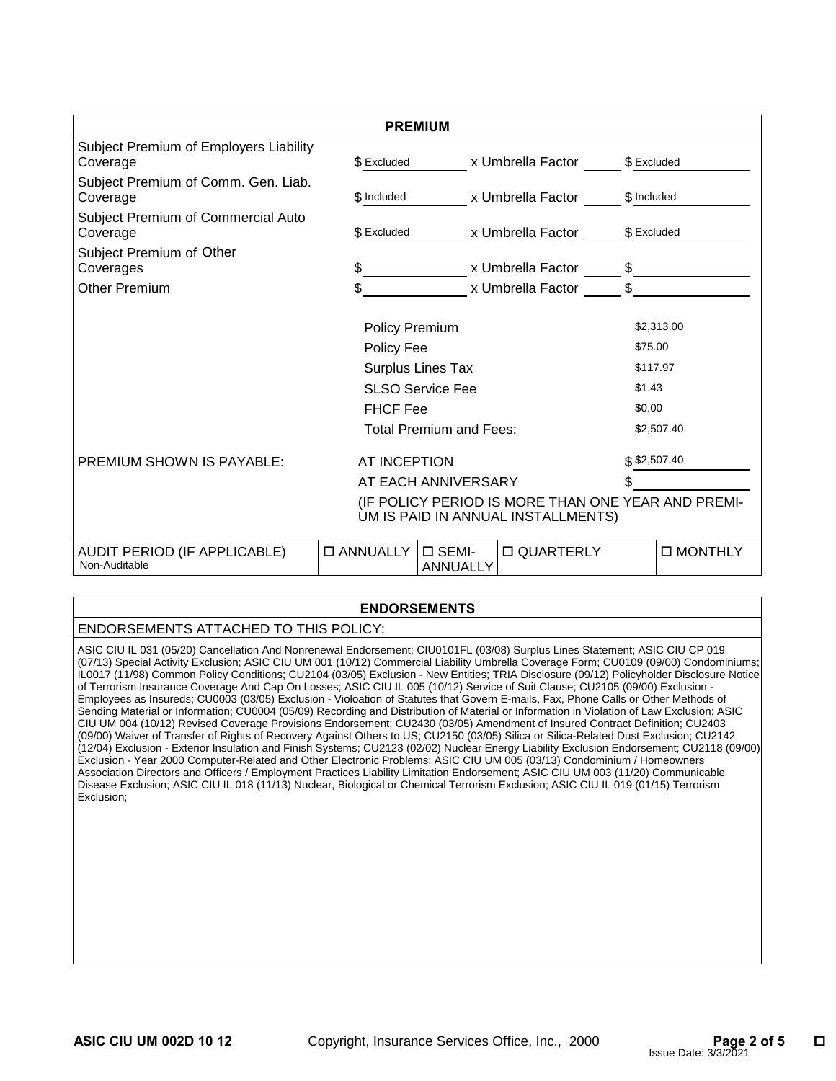|                                                                                          | <b>PREMIUM</b>                 |                             |                    |               |            |  |  |
|------------------------------------------------------------------------------------------|--------------------------------|-----------------------------|--------------------|---------------|------------|--|--|
| Subject Premium of Employers Liability<br>Coverage                                       | \$ Excluded                    |                             | x Umbrella Factor  | \$ Excluded   |            |  |  |
| Subject Premium of Comm. Gen. Liab.<br>Coverage                                          | \$ Included                    |                             | x Umbrella Factor  | \$ Included   |            |  |  |
| Subject Premium of Commercial Auto<br>Coverage                                           | \$ Excluded                    |                             | x Umbrella Factor  | \$ Excluded   |            |  |  |
| Subject Premium of Other<br>Coverages                                                    | \$                             |                             | x Umbrella Factor  | \$            |            |  |  |
| <b>Other Premium</b>                                                                     | \$                             |                             | x Umbrella Factor  | \$            |            |  |  |
|                                                                                          |                                | \$2,313.00<br>\$75.00       |                    |               |            |  |  |
|                                                                                          | Policy Fee                     | Surplus Lines Tax           |                    | \$117.97      |            |  |  |
|                                                                                          |                                | <b>SLSO Service Fee</b>     |                    | \$1.43        |            |  |  |
|                                                                                          | <b>FHCF Fee</b>                |                             |                    |               | \$0.00     |  |  |
|                                                                                          | <b>Total Premium and Fees:</b> |                             |                    |               | \$2,507.40 |  |  |
| <b>PREMIUM SHOWN IS PAYABLE:</b>                                                         | AT INCEPTION                   |                             |                    | \$ \$2,507.40 |            |  |  |
| AT EACH ANNIVERSARY                                                                      |                                |                             |                    |               |            |  |  |
| (IF POLICY PERIOD IS MORE THAN ONE YEAR AND PREMI-<br>UM IS PAID IN ANNUAL INSTALLMENTS) |                                |                             |                    |               |            |  |  |
| <b>AUDIT PERIOD (IF APPLICABLE)</b><br>Non-Auditable                                     | □ ANNUALLY                     | $\square$ SEMI-<br>ANNUALLY | <b>D QUARTERLY</b> |               | □ MONTHLY  |  |  |

#### **ENDORSEMENTS**

### ENDORSEMENTS ATTACHED TO THIS POLICY:

 ASIC CIU IL 031 (05/20) Cancellation And Nonrenewal Endorsement; CIU0101FL (03/08) Surplus Lines Statement; ASIC CIU CP 019 (07/13) Special Activity Exclusion, ASIC CIO OM 001 (10/12) Commercial Liability Ombiella Coverage Form, CO0109 (09/00) Condominiums;<br>IL0017 (11/98) Common Policy Conditions; CU2104 (03/05) Exclusion - New Entities; TRIA D of Terrorism Insurance Coverage And Cap On Losses; ASIC CIU IL 005 (10/12) Service of Suit Clause; CU2105 (09/00) Exclusion - Sending Material or Information; CU0004 (05/09) Recording and Distribution of Material or Information in Violation of Law Exclusion; ASIC CIU UM 004 (10/12) Revised Coverage Provisions Endorsement; CU2430 (03/05) Amendment of Insured Contract Definition; CU2403 (12/04) Exclusion - Exterior Insulation and Finish Systems; CU2123 (02/02) Nuclear Energy Liability Exclusion Endorsement; CU2118 (09/00) Exclusion - Year 2000 Computer-Related and Other Electronic Problems; ASIC CIU UM 005 (03/13) Condominium / Homeowners Disease Exclusion; ASIC CIU IL 018 (11/13) Nuclear, Biological or Chemical Terrorism Exclusion; ASIC CIU IL 019 (01/15) Terrorism Exclusion; (07/13) Special Activity Exclusion; ASIC CIU UM 001 (10/12) Commercial Liability Umbrella Coverage Form; CU0109 (09/00) Condominiums; Employees as Insureds; CU0003 (03/05) Exclusion - Violoation of Statutes that Govern E-mails, Fax, Phone Calls or Other Methods of (09/00) Waiver of Transfer of Rights of Recovery Against Others to US; CU2150 (03/05) Silica or Silica-Related Dust Exclusion; CU2142 Association Directors and Officers / Employment Practices Liability Limitation Endorsement; ASIC CIU UM 003 (11/20) Communicable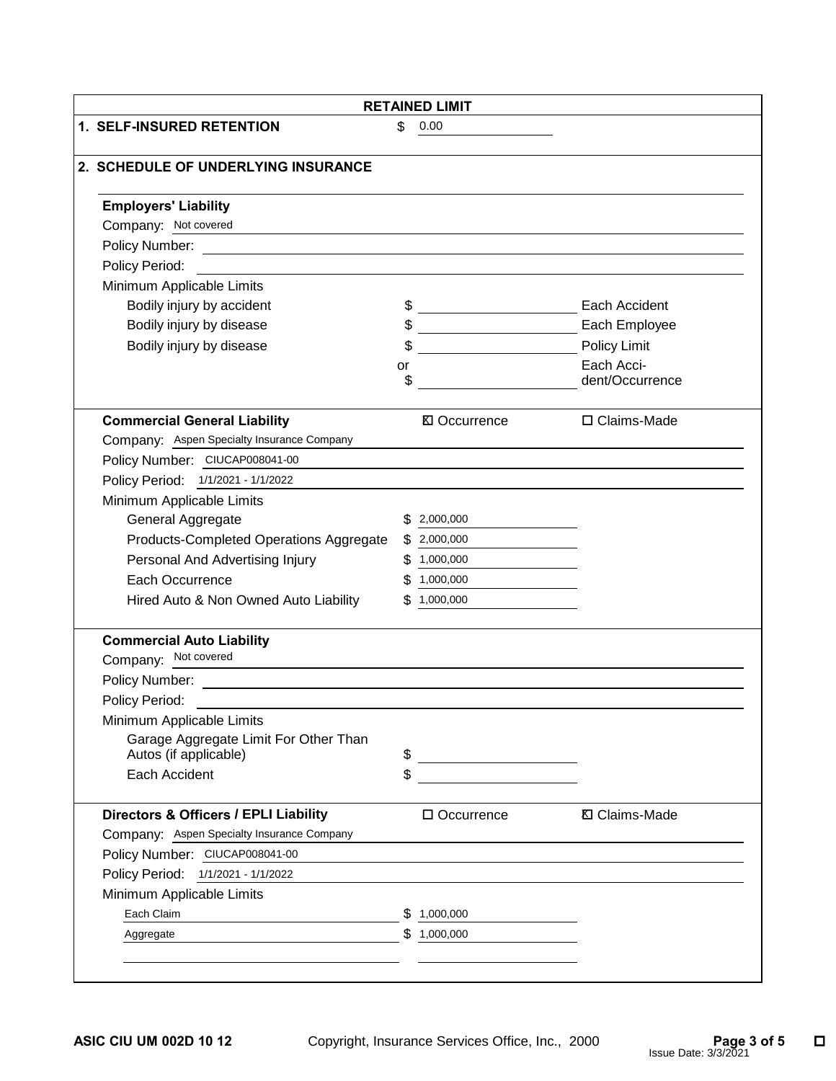| <b>RETAINED LIMIT</b>                                          |          |                                         |                               |  |
|----------------------------------------------------------------|----------|-----------------------------------------|-------------------------------|--|
| 1. SELF-INSURED RETENTION                                      | \$       | 0.00                                    |                               |  |
| 2. SCHEDULE OF UNDERLYING INSURANCE                            |          |                                         |                               |  |
| <b>Employers' Liability</b>                                    |          |                                         |                               |  |
| Company: Not covered                                           |          |                                         |                               |  |
|                                                                |          |                                         |                               |  |
| Policy Period:                                                 |          |                                         |                               |  |
| Minimum Applicable Limits                                      |          |                                         |                               |  |
| Bodily injury by accident                                      | \$       |                                         | Each Accident                 |  |
| Bodily injury by disease                                       | \$       |                                         | Each Employee                 |  |
| Bodily injury by disease                                       | \$       |                                         | Policy Limit                  |  |
|                                                                | or<br>\$ |                                         | Each Acci-<br>dent/Occurrence |  |
| <b>Commercial General Liability</b>                            |          | <b>⊠</b> Occurrence                     | □ Claims-Made                 |  |
| Company: Aspen Specialty Insurance Company                     |          |                                         |                               |  |
| Policy Number: CIUCAP008041-00                                 |          |                                         |                               |  |
| Policy Period: 1/1/2021 - 1/1/2022                             |          |                                         |                               |  |
| Minimum Applicable Limits                                      |          |                                         |                               |  |
| General Aggregate                                              | S.       | 2,000,000                               |                               |  |
| Products-Completed Operations Aggregate                        |          | \$2,000,000                             |                               |  |
| Personal And Advertising Injury                                | \$.      | 1,000,000                               |                               |  |
| Each Occurrence                                                |          | 1,000,000                               |                               |  |
| Hired Auto & Non Owned Auto Liability                          | \$.      | 1,000,000                               |                               |  |
| <b>Commercial Auto Liability</b>                               |          |                                         |                               |  |
| Company: Not covered                                           |          |                                         |                               |  |
| Policy Number:                                                 |          |                                         |                               |  |
| Policy Period:                                                 |          |                                         |                               |  |
| Minimum Applicable Limits                                      |          |                                         |                               |  |
| Garage Aggregate Limit For Other Than<br>Autos (if applicable) | \$       |                                         |                               |  |
| Each Accident                                                  | \$       | <u> 1989 - Johann Barbara, martin a</u> |                               |  |
|                                                                |          |                                         |                               |  |
| Directors & Officers / EPLI Liability                          |          | □ Occurrence                            | <b>Ⅳ</b> Claims-Made          |  |
| Company: Aspen Specialty Insurance Company                     |          |                                         |                               |  |
| Policy Number: CIUCAP008041-00                                 |          |                                         |                               |  |
| Policy Period: 1/1/2021 - 1/1/2022                             |          |                                         |                               |  |
| Minimum Applicable Limits                                      |          |                                         |                               |  |
| Each Claim                                                     |          | 1,000,000                               |                               |  |
|                                                                | \$       | 1,000,000                               |                               |  |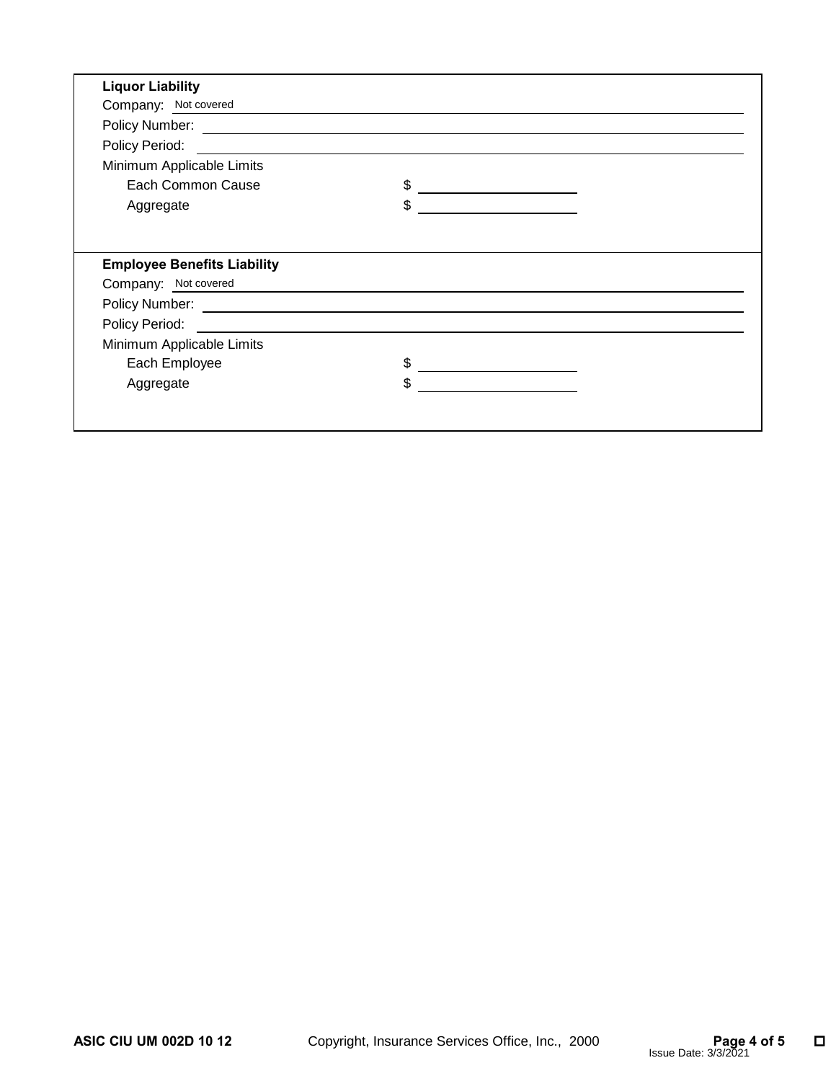| Company: Not covered                                       |                                               |  |
|------------------------------------------------------------|-----------------------------------------------|--|
|                                                            |                                               |  |
| Policy Period:                                             |                                               |  |
| Minimum Applicable Limits                                  |                                               |  |
| Each Common Cause                                          | \$<br><u> 1989 - Johann Barbara, martin a</u> |  |
| Aggregate                                                  | \$                                            |  |
| <b>Employee Benefits Liability</b><br>Company: Not covered |                                               |  |
|                                                            |                                               |  |
|                                                            |                                               |  |
| Minimum Applicable Limits                                  |                                               |  |
|                                                            | \$                                            |  |
| Each Employee                                              |                                               |  |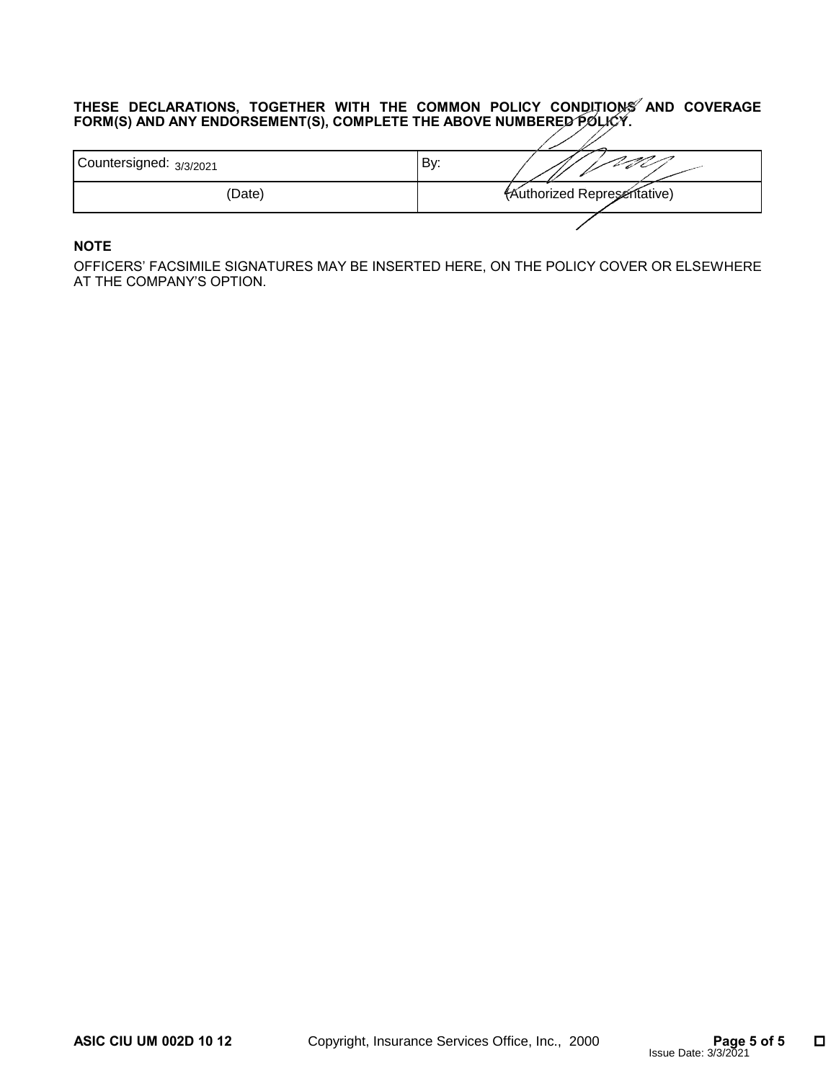#### **THESE DECLARATIONS, TOGETHER WITH THE COMMON POLICY CONDITIONS AND COVERAGE FORM(S) AND ANY ENDORSEMENT(S), COMPLETE THE ABOVE NUMBERED POLICY.**

| Countersigned: 3/3/2021 | By:                                |
|-------------------------|------------------------------------|
| (Date)                  | <b>(Authorized Representative)</b> |
|                         |                                    |

# **NOTE**

OFFICERS' FACSIMILE SIGNATURES MAY BE INSERTED HERE, ON THE POLICY COVER OR ELSEWHERE AT THE COMPANY'S OPTION.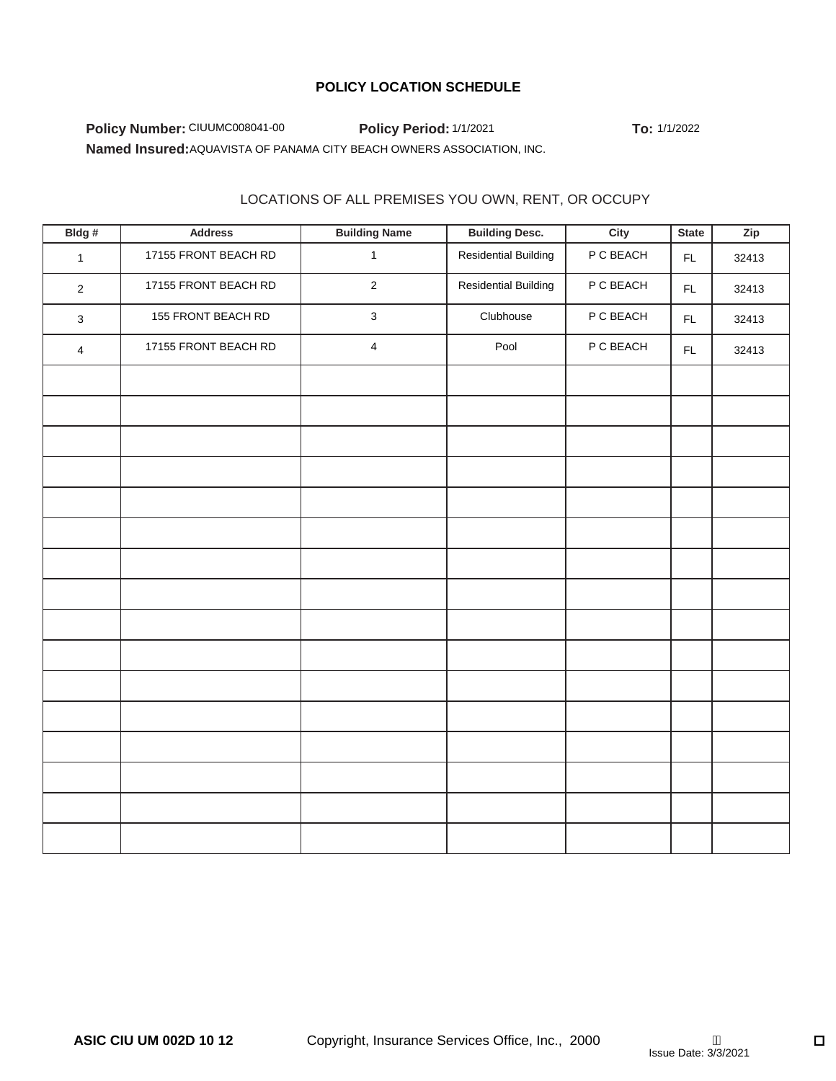# **POLICY LOCATION SCHEDULE**

 **Policy Number: CIUUMC008041-00 Policy Period: 1/1/2021 To: 1/1/2022** Named Insured: AQUAVISTA OF PANAMA CITY BEACH OWNERS ASSOCIATION, INC.

### LOCATIONS OF ALL PREMISES YOU OWN, RENT, OR OCCUPY

|                                                    | Policy Number: CIUUMC008041-00                                         | Policy Period: 1/1/2021 | To: 1/1/2022                |           |              |       |  |
|----------------------------------------------------|------------------------------------------------------------------------|-------------------------|-----------------------------|-----------|--------------|-------|--|
|                                                    | Named Insured: AQUAVISTA OF PANAMA CITY BEACH OWNERS ASSOCIATION, INC. |                         |                             |           |              |       |  |
|                                                    |                                                                        |                         |                             |           |              |       |  |
| LOCATIONS OF ALL PREMISES YOU OWN, RENT, OR OCCUPY |                                                                        |                         |                             |           |              |       |  |
| Bldg#                                              | <b>Address</b>                                                         | <b>Building Name</b>    | <b>Building Desc.</b>       | City      | <b>State</b> | Zip   |  |
| $\mathbf{1}$                                       | 17155 FRONT BEACH RD                                                   | $\mathbf{1}$            | <b>Residential Building</b> | P C BEACH | FL           | 32413 |  |
| $\overline{2}$                                     | 17155 FRONT BEACH RD                                                   | $\overline{2}$          | <b>Residential Building</b> | P C BEACH | FL.          | 32413 |  |
| $\mathbf{3}$                                       | 155 FRONT BEACH RD                                                     | $\sqrt{3}$              | Clubhouse                   | P C BEACH | FL           | 32413 |  |
| $\overline{4}$                                     | 17155 FRONT BEACH RD                                                   | $\overline{4}$          | Pool                        | P C BEACH | FL           | 32413 |  |
|                                                    |                                                                        |                         |                             |           |              |       |  |
|                                                    |                                                                        |                         |                             |           |              |       |  |
|                                                    |                                                                        |                         |                             |           |              |       |  |
|                                                    |                                                                        |                         |                             |           |              |       |  |
|                                                    |                                                                        |                         |                             |           |              |       |  |
|                                                    |                                                                        |                         |                             |           |              |       |  |
|                                                    |                                                                        |                         |                             |           |              |       |  |
|                                                    |                                                                        |                         |                             |           |              |       |  |
|                                                    |                                                                        |                         |                             |           |              |       |  |
|                                                    |                                                                        |                         |                             |           |              |       |  |
|                                                    |                                                                        |                         |                             |           |              |       |  |
|                                                    |                                                                        |                         |                             |           |              |       |  |
|                                                    |                                                                        |                         |                             |           |              |       |  |
|                                                    |                                                                        |                         |                             |           |              |       |  |
|                                                    |                                                                        |                         |                             |           |              |       |  |
|                                                    |                                                                        |                         |                             |           |              |       |  |
|                                                    |                                                                        |                         |                             |           |              |       |  |